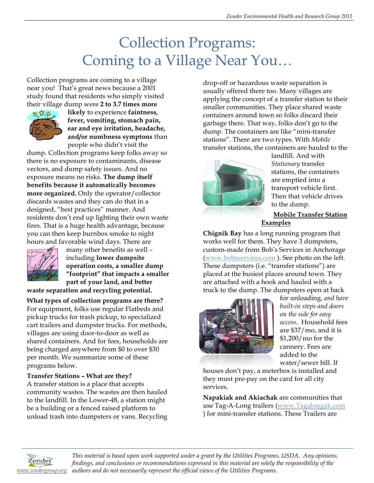# Collection Programs: Coming to a Village Near You…

Collection programs are coming to a village near you! That's great news because a 2001 study found that residents who simply visited their village dump were **2 to 3.7 times more** 



**likely** to experience **faintness, fever, vomiting, stomach pain, ear and eye irritation, headache, and/or numbness symptons** than people who didn't visit the

dump. Collection programs keep folks away so there is no exposure to contaminants, disease vectors, and dump safety issues. And no exposure means no risks. **The dump itself benefits because it automatically becomes more organized.** Only the operator/collector discards wastes and they can do that in a designed, "best practices" manner. And residents don't end up lighting their own waste fires. That is a huge health advantage, because you can then keep burnbox smoke to night hours and favorable wind days. There are



many other benefits as well – including **lower dumpsite operation costs, a smaller dump "footprint" that impacts a smaller part of your land, and better** 

**waste separation and recycling potential.** 

**What types of collection programs are there?** For equipment, folks use regular Flatbeds and pickup trucks for trash pickup, to specialized cart trailers and dumpster trucks. For methods, villages are using door-to-door as well as shared containers. And for fees, households are being charged anywhere from \$0 to over \$30 per month. We summarize some of these programs below.

### **Transfer Stations – What are they?**

A transfer station is a place that accepts community wastes. The wastes are then hauled to the landfill. In the Lower-48, a station might be a building or a fenced raised platform to unload trash into dumpsters or vans. Recycling drop-off or hazardous waste separation is usually offered there too. Many villages are applying the concept of a transfer station to their smaller communities. They place shared waste containers around town so folks discard their garbage there. That way, folks don't go to the dump. The containers are like "mini-transfer stations". There are two types. With *Mobile* transfer stations, the containers are hauled to the



landfill. And with *Stationary* transfer stations, the containers are emptied into a transport vehicle first. Then that vehicle drives to the dump.

## **Mobile Transfer Station Examples**

**Chignik Bay** has a long running program that works well for them. They have 3 dumpsters, custom-made from Bob's Services in Anchorage (www.bobsservices.com ). See photo on the left. These dumpsters (i.e. "transfer stations") are placed at the busiest places around town. They are attached with a hook and hauled with a truck to the dump. The dumpsters open at back



for unloading, *and have built-in steps and doors on the side for easy access.* Household fees are \$37/mo, and it is \$1,200/mo for the cannery. Fees are added to the water/sewer bill. If

houses don't pay, a meterbox is installed and they must pre-pay on the card for all city services.

**Napakiak and Akiachak** are communities that use Tag-A-Long trailers (www.Tagalongak.com ) for mini-transfer stations. These Trailers are



*This material is based upon work supported under a grant by the Utilities Programs, USDA. Any opinions, findings, and conclusions or recommendations expressed in this material are solely the responsibility of the www.zendergroup.org authors and do not necessarily represent the official views of the Utilities Programs.*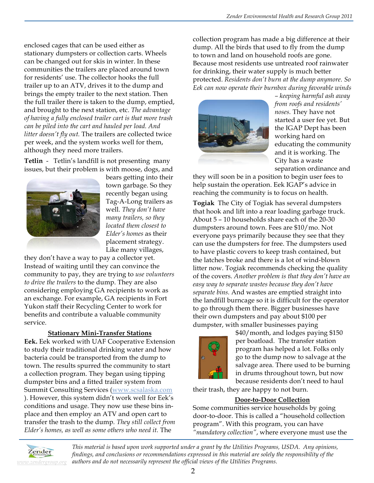enclosed cages that can be used either as stationary dumpsters or collection carts. Wheels can be changed out for skis in winter. In these communities the trailers are placed around town for residents' use. The collector hooks the full trailer up to an ATV, drives it to the dump and brings the empty trailer to the next station. Then the full trailer there is taken to the dump, emptied, and brought to the next station, etc. *The advantage of having a fully enclosed trailer cart is that more trash can be piled into the cart and hauled per load. And litter doesn't fly out.* The trailers are collected twice per week, and the system works well for them, although they need more trailers.

**Tetlin** - Tetlin's landfill is not presenting many issues, but their problem is with moose, dogs, and



bears getting into their town garbage. So they recently began using Tag-A-Long trailers as well. *They don't have many trailers, so they located them closest to Elder's homes* as their placement strategy. Like many villages,

they don't have a way to pay a collector yet. Instead of waiting until they can convince the community to pay, they are trying to *use volunteers to drive the trailers* to the dump. They are also considering employing GA recipients to work as an exchange. For example, GA recipients in Fort Yukon staff their Recycling Center to work for benefits and contribute a valuable community service.

### **Stationary Mini-Transfer Stations**

**Eek.** Eek worked with UAF Cooperative Extension to study their traditional drinking water and how bacteria could be transported from the dump to town. The results spurred the community to start a collection program. They began using tipping dumpster bins and a fitted trailer system from Summit Consulting Services (www.scsalaska.com ). However, this system didn't work well for Eek's conditions and usage. They now use these bins inplace and then employ an ATV and open cart to transfer the trash to the dump*. They still collect from Elder's homes, as well as some others who need it.* The

collection program has made a big difference at their dump. All the birds that used to fly from the dump to town and land on household roofs are gone. Because most residents use untreated roof rainwater for drinking, their water supply is much better protected. *Residents don't burn at the dump anymore. So Eek can now operate their burnbox during favorable winds* 



*– keeping harmful ash away from roofs and residents' noses.* They have not started a user fee yet. But the IGAP Dept has been working hard on educating the community and it is working. The City has a waste separation ordinance and

they will soon be in a position to begin user fees to help sustain the operation. Eek IGAP's advice in reaching the community is to focus on health.

**Togiak** The City of Togiak has several dumpsters that hook and lift into a rear loading garbage truck. About 5 – 10 households share each of the 20-30 dumpsters around town. Fees are \$10/mo. Not everyone pays primarily because they see that they can use the dumpsters for free. The dumpsters used to have plastic covers to keep trash contained, but the latches broke and there is a lot of wind-blown litter now. Togiak recommends checking the quality of the covers. *Another problem is that they don't have an easy way to separate wastes because they don't have separate bins.* And wastes are emptied straight into the landfill burncage so it is difficult for the operator to go through them there. Bigger businesses have their own dumpsters and pay about \$100 per dumpster, with smaller businesses paying



\$40/month, and lodges paying \$150 per boatload. The transfer station program has helped a lot. Folks only go to the dump now to salvage at the salvage area. There used to be burning in drums throughout town, but now because residents don't need to haul

their trash, they are happy to not burn.

### **Door-to-Door Collection**

Some communities service households by going door-to-door. This is called a "household collection program". With this program, you can have *"mandatory collection"*, where everyone must use the



*This material is based upon work supported under a grant by the Utilities Programs, USDA. Any opinions, findings, and conclusions or recommendations expressed in this material are solely the responsibility of the authors and do not necessarily represent the official views of the Utilities Programs.*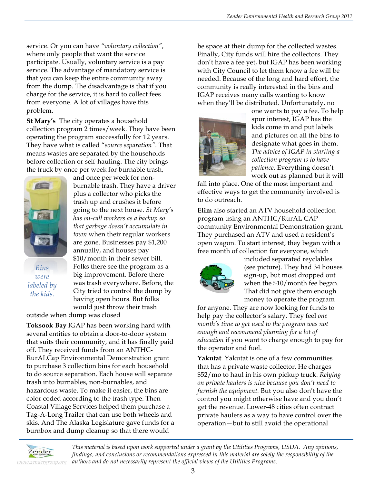service. Or you can have *"voluntary collection"*, where only people that want the service participate. Usually, voluntary service is a pay service. The advantage of mandatory service is that you can keep the entire community away from the dump. The disadvantage is that if you charge for the service, it is hard to collect fees from everyone. A lot of villages have this problem.

**St Mary's** The city operates a household collection program 2 times/week. They have been operating the program successfully for 12 years. They have what is called "*source separation".* That means wastes are separated by the households before collection or self-hauling. The city brings the truck by once per week for burnable trash,

and once per week for non-



*Bins were labeled by the kids.*

burnable trash. They have a driver plus a collector who picks the trash up and crushes it before going to the next house. *St Mary's has on-call workers as a backup so that garbage doesn't accumulate in town* when their regular workers are gone. Businesses pay \$1,200 annually, and houses pay \$10/month in their sewer bill. Folks there see the program as a big improvement. Before there was trash everywhere. Before, the City tried to control the dump by having open hours. But folks would just throw their trash

outside when dump was closed

**Toksook Bay** IGAP has been working hard with several entities to obtain a door-to-door system that suits their community, and it has finally paid off. They received funds from an ANTHC-RurALCap Environmental Demonstration grant to purchase 3 collection bins for each household to do source separation. Each house will separate trash into burnables, non-burnables, and hazardous waste. To make it easier, the bins are color coded according to the trash type. Then Coastal Village Services helped them purchase a Tag-A-Long Trailer that can use both wheels and skis. And The Alaska Legislature gave funds for a burnbox and dump cleanup so that there would

be space at their dump for the collected wastes. Finally, City funds will hire the collectors. They don't have a fee yet, but IGAP has been working with City Council to let them know a fee will be needed. Because of the long and hard effort, the community is really interested in the bins and IGAP receives many calls wanting to know when they'll be distributed. Unfortunately, no



one wants to pay a fee. To help spur interest, IGAP has the kids come in and put labels and pictures on all the bins to designate what goes in them. *The advice of IGAP in starting a collection program is to have patience.* Everything doesn't work out as planned but it will

fall into place. One of the most important and effective ways to get the community involved is to do outreach.

**Elim** also started an ATV household collection program using an ANTHC/RurAL CAP community Environmental Demonstration grant. They purchased an ATV and used a resident's open wagon. To start interest, they began with a free month of collection for everyone, which



included separated reyclables (see picture). They had 34 houses sign-up, but most dropped out when the \$10/month fee began. That did not give them enough money to operate the program

for anyone. They are now looking for funds to help pay the collector's salary. They feel *one month's time to get used to the program was not enough and recommend planning for a lot of education* if you want to charge enough to pay for the operator and fuel.

**Yakutat** Yakutat is one of a few communities that has a private waste collector. He charges \$52/mo to haul in his own pickup truck. *Relying on private haulers is nice because you don't need to furnish the equipment.* But you also don't have the control you might otherwise have and you don't get the revenue. Lower-48 cities often contract private haulers as a way to have control over the operation—but to still avoid the operational



*This material is based upon work supported under a grant by the Utilities Programs, USDA. Any opinions, findings, and conclusions or recommendations expressed in this material are solely the responsibility of the authors and do not necessarily represent the official views of the Utilities Programs.*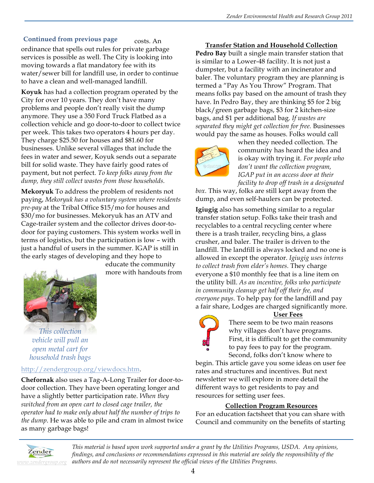### **Continued from previous page**

costs. An ordinance that spells out rules for private garbage services is possible as well. The City is looking into moving towards a flat mandatory fee with its water/sewer bill for landfill use, in order to continue to have a clean and well-managed landfill.

**Koyuk** has had a collection program operated by the City for over 10 years. They don't have many problems and people don't really visit the dump anymore. They use a 350 Ford Truck Flatbed as a collection vehicle and go door-to-door to collect twice per week. This takes two operators 4 hours per day. They charge \$25.50 for houses and \$81.60 for businesses. Unlike several villages that include the fees in water and sewer, Koyuk sends out a separate bill for solid waste. They have fairly good rates of payment, but not perfect. *To keep folks away from the dump, they still collect wastes from those households.*

**Mekoryuk** To address the problem of residents not paying, *Mekoryuk has a voluntary system where residents pre-pay* at the Tribal Office \$15/mo for houses and \$30/mo for businesses. Mekoryuk has an ATV and Cage-trailer system and the collector drives door-todoor for paying customers. This system works well in terms of logistics, but the participation is low – with just a handful of users in the summer. IGAP is still in the early stages of developing and they hope to

> educate the community more with handouts from



*This collection vehicle will pull an open metal cart for household trash bags*

### http://zendergroup.org/viewdocs.htm.

**Chefornak** also uses a Tag-A-Long Trailer for door-todoor collection. They have been operating longer and have a slightly better participation rate. *When they switched from an open cart to closed cage trailer, the operator had to make only about half the number of trips to the dump*. He was able to pile and cram in almost twice as many garbage bags!

**Transfer Station and Household Collection Pedro Bay** built a single main transfer station that is similar to a Lower-48 facility. It is not just a dumpster, but a facility with an incinerator and baler. The voluntary program they are planning is termed a "Pay As You Throw" Program. That means folks pay based on the amount of trash they have. In Pedro Bay, they are thinking \$5 for 2 big black/green garbage bags, \$3 for 2 kitchen-size bags, and \$1 per additional bag. *If wastes are separated they might get collection for free.* Businesses would pay the same as houses. Folks would call



when they needed collection. The community has heard the idea and is okay with trying it. *For people who don't want the collection program, IGAP put in an access door at their facility to drop off trash in a designated* 

*box.* This way, folks are still kept away from the dump, and even self-haulers can be protected.

**Igiugig** also has something similar to a regular transfer station setup. Folks take their trash and recyclables to a central recycling center where there is a trash trailer, recycling bins, a glass crusher, and baler. The trailer is driven to the landfill. The landfill is always locked and no one is allowed in except the operator. *Igiugig uses interns to collect trash from elder's homes.* They charge everyone a \$10 monthly fee that is a line item on the utility bill. *As an incentive, folks who participate in community cleanup get half off their fee, and everyone pays.* To help pay for the landfill and pay a fair share, Lodges are charged significantly more.

#### **User Fees**

There seem to be two main reasons why villages don't have programs. First, it is difficult to get the community to pay fees to pay for the program. Second, folks don't know where to

begin. This article gave you some ideas on user fee rates and structures and incentives. But next newsletter we will explore in more detail the different ways to get residents to pay and resources for setting user fees.

### **Collection Program Resources**

For an education factsheet that you can share with Council and community on the benefits of starting



*This material is based upon work supported under a grant by the Utilities Programs, USDA. Any opinions, findings, and conclusions or recommendations expressed in this material are solely the responsibility of the authors and do not necessarily represent the official views of the Utilities Programs.*